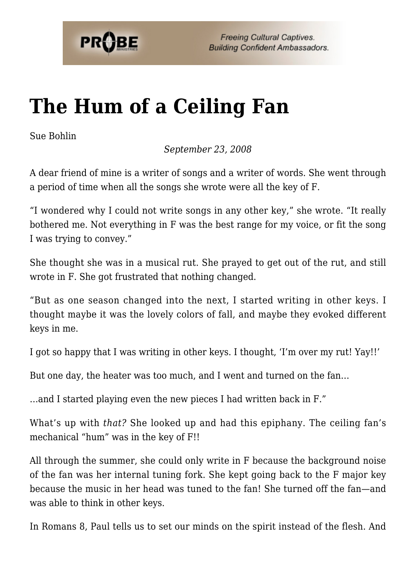

## **[The Hum of a Ceiling Fan](https://probe.org/the-hum-of-a-ceiling-fan/)**

Sue Bohlin

*September 23, 2008*

A dear friend of mine is a writer of songs and a writer of words. She went through a period of time when all the songs she wrote were all the key of F.

"I wondered why I could not write songs in any other key," she wrote. "It really bothered me. Not everything in F was the best range for my voice, or fit the song I was trying to convey."

She thought she was in a musical rut. She prayed to get out of the rut, and still wrote in F. She got frustrated that nothing changed.

"But as one season changed into the next, I started writing in other keys. I thought maybe it was the lovely colors of fall, and maybe they evoked different keys in me.

I got so happy that I was writing in other keys. I thought, 'I'm over my rut! Yay!!'

But one day, the heater was too much, and I went and turned on the fan…

…and I started playing even the new pieces I had written back in F."

What's up with *that?* She looked up and had this epiphany. The ceiling fan's mechanical "hum" was in the key of F!!

All through the summer, she could only write in F because the background noise of the fan was her internal tuning fork. She kept going back to the F major key because the music in her head was tuned to the fan! She turned off the fan—and was able to think in other keys.

In Romans 8, Paul tells us to set our minds on the spirit instead of the flesh. And